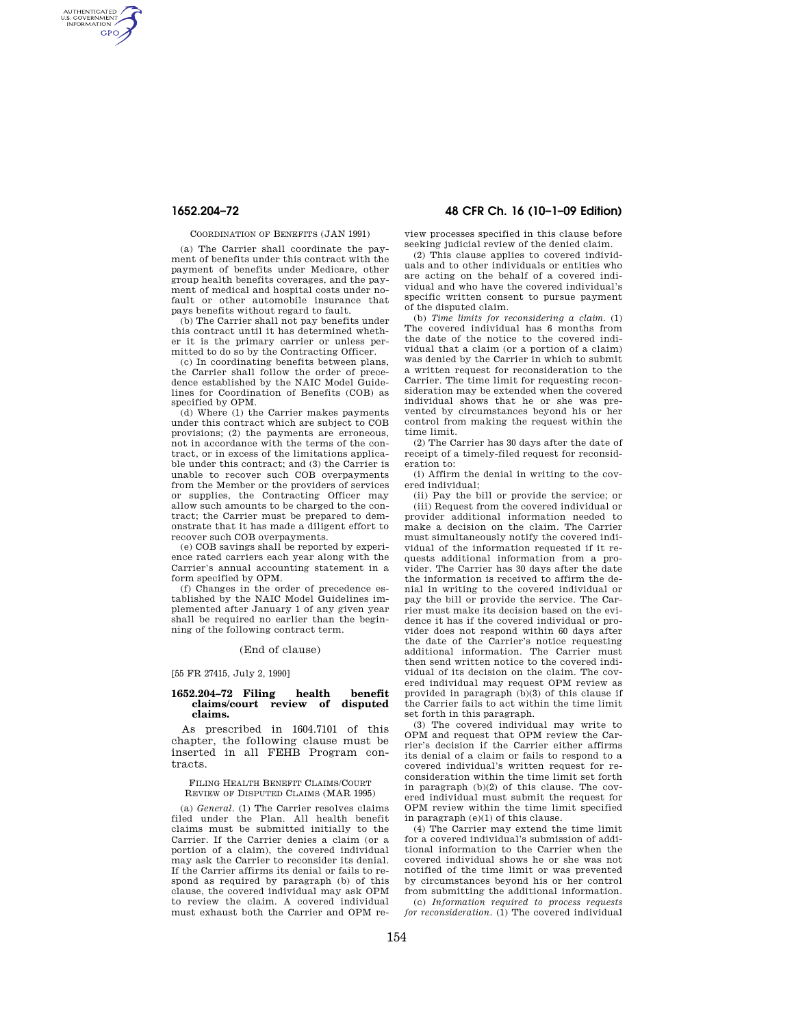AUTHENTICATED<br>U.S. GOVERNMENT<br>INFORMATION **GPO** 

### COORDINATION OF BENEFITS (JAN 1991)

(a) The Carrier shall coordinate the payment of benefits under this contract with the payment of benefits under Medicare, other group health benefits coverages, and the payment of medical and hospital costs under nofault or other automobile insurance that pays benefits without regard to fault.

(b) The Carrier shall not pay benefits under this contract until it has determined whether it is the primary carrier or unless permitted to do so by the Contracting Officer.

(c) In coordinating benefits between plans, the Carrier shall follow the order of precedence established by the NAIC Model Guidelines for Coordination of Benefits (COB) as specified by OPM.

(d) Where (1) the Carrier makes payments under this contract which are subject to COB provisions; (2) the payments are erroneous, not in accordance with the terms of the contract, or in excess of the limitations applicable under this contract; and (3) the Carrier is unable to recover such COB overpayments from the Member or the providers of services or supplies, the Contracting Officer may allow such amounts to be charged to the contract; the Carrier must be prepared to demonstrate that it has made a diligent effort to recover such COB overpayments.

(e) COB savings shall be reported by experience rated carriers each year along with the Carrier's annual accounting statement in a form specified by OPM.

(f) Changes in the order of precedence established by the NAIC Model Guidelines implemented after January 1 of any given year shall be required no earlier than the beginning of the following contract term.

(End of clause)

[55 FR 27415, July 2, 1990]

## **1652.204–72 Filing health benefit**  claims/court review of **claims.**

As prescribed in 1604.7101 of this chapter, the following clause must be inserted in all FEHB Program contracts.

FILING HEALTH BENEFIT CLAIMS/COURT REVIEW OF DISPUTED CLAIMS (MAR 1995)

(a) *General.* (1) The Carrier resolves claims filed under the Plan. All health benefit claims must be submitted initially to the Carrier. If the Carrier denies a claim (or a portion of a claim), the covered individual may ask the Carrier to reconsider its denial. If the Carrier affirms its denial or fails to respond as required by paragraph (b) of this clause, the covered individual may ask OPM to review the claim. A covered individual must exhaust both the Carrier and OPM re-

# **1652.204–72 48 CFR Ch. 16 (10–1–09 Edition)**

view processes specified in this clause before seeking judicial review of the denied claim.

(2) This clause applies to covered individuals and to other individuals or entities who are acting on the behalf of a covered individual and who have the covered individual's specific written consent to pursue payment of the disputed claim.

(b) *Time limits for reconsidering a claim.* (1) The covered individual has 6 months from the date of the notice to the covered individual that a claim (or a portion of a claim) was denied by the Carrier in which to submit a written request for reconsideration to the Carrier. The time limit for requesting reconsideration may be extended when the covered individual shows that he or she was prevented by circumstances beyond his or her control from making the request within the time limit.

(2) The Carrier has 30 days after the date of receipt of a timely-filed request for reconsideration to:

(i) Affirm the denial in writing to the covered individual;

(ii) Pay the bill or provide the service; or (iii) Request from the covered individual or provider additional information needed to make a decision on the claim. The Carrier must simultaneously notify the covered individual of the information requested if it requests additional information from a provider. The Carrier has 30 days after the date the information is received to affirm the denial in writing to the covered individual or pay the bill or provide the service. The Carrier must make its decision based on the evidence it has if the covered individual or provider does not respond within 60 days after the date of the Carrier's notice requesting additional information. The Carrier must then send written notice to the covered individual of its decision on the claim. The covered individual may request OPM review as provided in paragraph (b)(3) of this clause if the Carrier fails to act within the time limit set forth in this paragraph.

(3) The covered individual may write to OPM and request that OPM review the Carrier's decision if the Carrier either affirms its denial of a claim or fails to respond to a covered individual's written request for reconsideration within the time limit set forth in paragraph (b)(2) of this clause. The covered individual must submit the request for OPM review within the time limit specified in paragraph (e)(1) of this clause.

(4) The Carrier may extend the time limit for a covered individual's submission of additional information to the Carrier when the covered individual shows he or she was not notified of the time limit or was prevented by circumstances beyond his or her control from submitting the additional information.

(c) *Information required to process requests for reconsideration.* (1) The covered individual